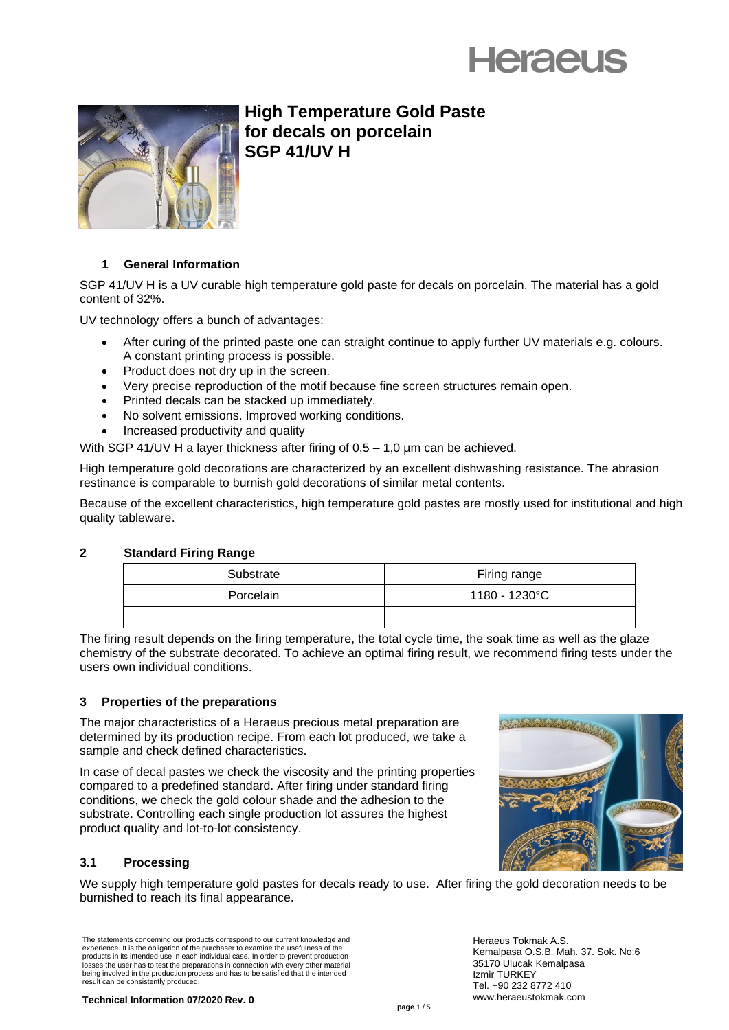



**High Temperature Gold Paste for decals on porcelain SGP 41/UV H**

# **1 General Information**

SGP 41/UV H is a UV curable high temperature gold paste for decals on porcelain. The material has a gold content of 32%.

UV technology offers a bunch of advantages:

- After curing of the printed paste one can straight continue to apply further UV materials e.g. colours. A constant printing process is possible.
- Product does not dry up in the screen.
- Very precise reproduction of the motif because fine screen structures remain open.
- Printed decals can be stacked up immediately.
- No solvent emissions. Improved working conditions.
- Increased productivity and quality

With SGP 41/UV H a layer thickness after firing of 0,5 – 1,0 µm can be achieved.

High temperature gold decorations are characterized by an excellent dishwashing resistance. The abrasion restinance is comparable to burnish gold decorations of similar metal contents.

Because of the excellent characteristics, high temperature gold pastes are mostly used for institutional and high quality tableware.

#### **2 Standard Firing Range**

| Substrate | Firing range  |
|-----------|---------------|
| Porcelain | 1180 - 1230°C |
|           |               |

The firing result depends on the firing temperature, the total cycle time, the soak time as well as the glaze chemistry of the substrate decorated. To achieve an optimal firing result, we recommend firing tests under the users own individual conditions.

# **3 Properties of the preparations**

The major characteristics of a Heraeus precious metal preparation are determined by its production recipe. From each lot produced, we take a sample and check defined characteristics.

In case of decal pastes we check the viscosity and the printing properties compared to a predefined standard. After firing under standard firing conditions, we check the gold colour shade and the adhesion to the substrate. Controlling each single production lot assures the highest product quality and lot-to-lot consistency.



We supply high temperature gold pastes for decals ready to use. After firing the gold decoration needs to be burnished to reach its final appearance.

The statements concerning our products correspond to our current knowledge and experience. It is the obligation of the purchaser to examine the usefulness of the products in its intended use in each individual case. In order to prevent production losses the user has to test the preparations in connection with every other material being involved in the production process and has to be satisfied that the intended result can be consistently produced.



Heraeus Tokmak A.S. Kemalpasa O.S.B. Mah. 37. Sok. No:6 35170 Ulucak Kemalpasa Izmir TURKEY Tel. +90 232 8772 410 www.heraeustokmak.com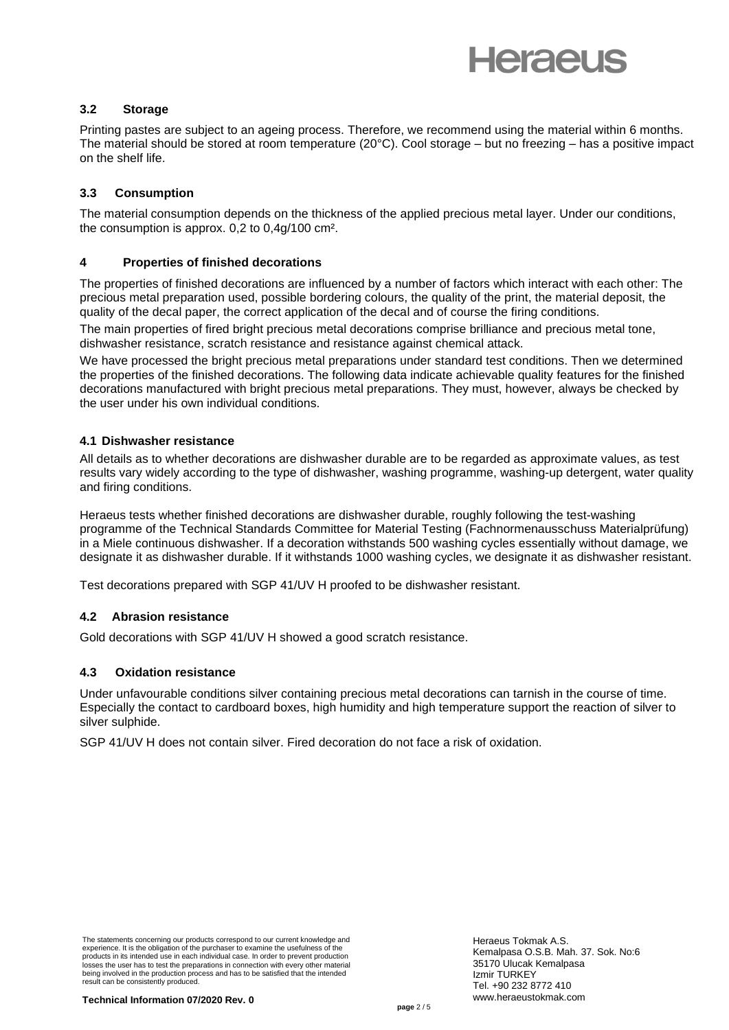# **Heraeus**

## **3.2 Storage**

Printing pastes are subject to an ageing process. Therefore, we recommend using the material within 6 months. The material should be stored at room temperature (20°C). Cool storage – but no freezing – has a positive impact on the shelf life.

## **3.3 Consumption**

The material consumption depends on the thickness of the applied precious metal layer. Under our conditions, the consumption is approx. 0,2 to 0,4g/100 cm².

## **4 Properties of finished decorations**

The properties of finished decorations are influenced by a number of factors which interact with each other: The precious metal preparation used, possible bordering colours, the quality of the print, the material deposit, the quality of the decal paper, the correct application of the decal and of course the firing conditions.

The main properties of fired bright precious metal decorations comprise brilliance and precious metal tone, dishwasher resistance, scratch resistance and resistance against chemical attack.

We have processed the bright precious metal preparations under standard test conditions. Then we determined the properties of the finished decorations. The following data indicate achievable quality features for the finished decorations manufactured with bright precious metal preparations. They must, however, always be checked by the user under his own individual conditions.

## **4.1 Dishwasher resistance**

All details as to whether decorations are dishwasher durable are to be regarded as approximate values, as test results vary widely according to the type of dishwasher, washing programme, washing-up detergent, water quality and firing conditions.

Heraeus tests whether finished decorations are dishwasher durable, roughly following the test-washing programme of the Technical Standards Committee for Material Testing (Fachnormenausschuss Materialprüfung) in a Miele continuous dishwasher. If a decoration withstands 500 washing cycles essentially without damage, we designate it as dishwasher durable. If it withstands 1000 washing cycles, we designate it as dishwasher resistant.

Test decorations prepared with SGP 41/UV H proofed to be dishwasher resistant.

# **4.2 Abrasion resistance**

Gold decorations with SGP 41/UV H showed a good scratch resistance.

#### **4.3 Oxidation resistance**

Under unfavourable conditions silver containing precious metal decorations can tarnish in the course of time. Especially the contact to cardboard boxes, high humidity and high temperature support the reaction of silver to silver sulphide.

SGP 41/UV H does not contain silver. Fired decoration do not face a risk of oxidation.

The statements concerning our products correspond to our current knowledge and experience. It is the obligation of the purchaser to examine the usefulness of the products in its intended use in each individual case. In order to prevent production losses the user has to test the preparations in connection with every other material being involved in the production process and has to be satisfied that the intended result can be consistently produced.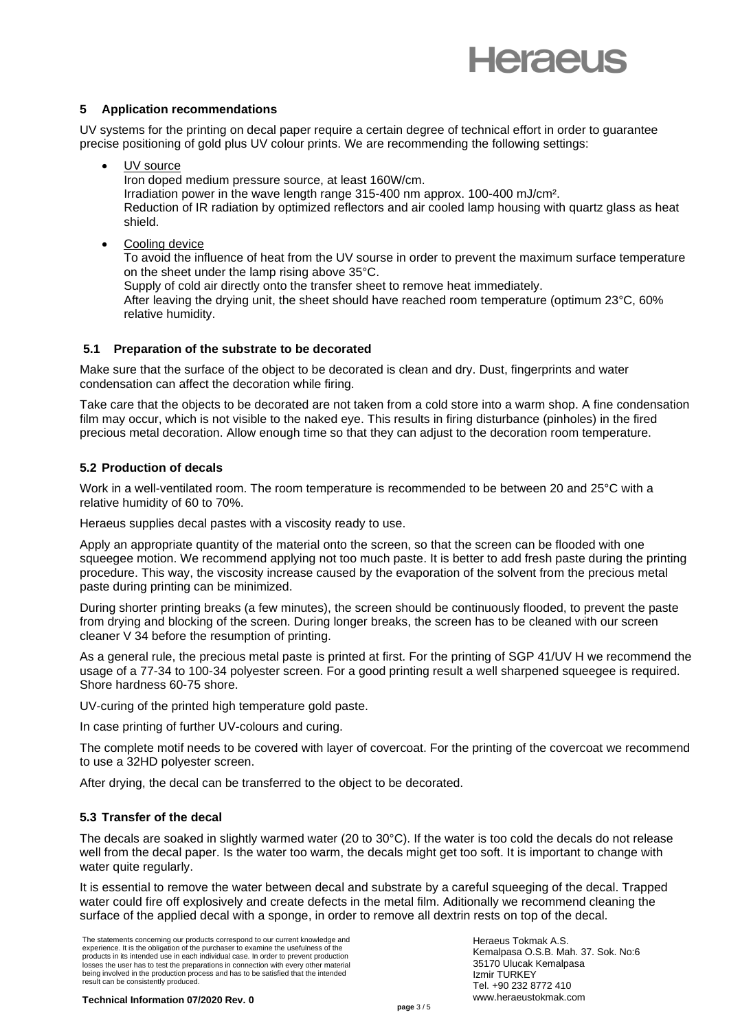

## **5 Application recommendations**

UV systems for the printing on decal paper require a certain degree of technical effort in order to guarantee precise positioning of gold plus UV colour prints. We are recommending the following settings:

UV source

Iron doped medium pressure source, at least 160W/cm.

Irradiation power in the wave length range 315-400 nm approx. 100-400 mJ/cm². Reduction of IR radiation by optimized reflectors and air cooled lamp housing with quartz glass as heat shield.

Cooling device

To avoid the influence of heat from the UV sourse in order to prevent the maximum surface temperature on the sheet under the lamp rising above 35°C.

Supply of cold air directly onto the transfer sheet to remove heat immediately.

After leaving the drying unit, the sheet should have reached room temperature (optimum 23°C, 60% relative humidity.

# **5.1 Preparation of the substrate to be decorated**

Make sure that the surface of the object to be decorated is clean and dry. Dust, fingerprints and water condensation can affect the decoration while firing.

Take care that the objects to be decorated are not taken from a cold store into a warm shop. A fine condensation film may occur, which is not visible to the naked eye. This results in firing disturbance (pinholes) in the fired precious metal decoration. Allow enough time so that they can adjust to the decoration room temperature.

# **5.2 Production of decals**

Work in a well-ventilated room. The room temperature is recommended to be between 20 and 25°C with a relative humidity of 60 to 70%.

Heraeus supplies decal pastes with a viscosity ready to use.

Apply an appropriate quantity of the material onto the screen, so that the screen can be flooded with one squeegee motion. We recommend applying not too much paste. It is better to add fresh paste during the printing procedure. This way, the viscosity increase caused by the evaporation of the solvent from the precious metal paste during printing can be minimized.

During shorter printing breaks (a few minutes), the screen should be continuously flooded, to prevent the paste from drying and blocking of the screen. During longer breaks, the screen has to be cleaned with our screen cleaner V 34 before the resumption of printing.

As a general rule, the precious metal paste is printed at first. For the printing of SGP 41/UV H we recommend the usage of a 77-34 to 100-34 polyester screen. For a good printing result a well sharpened squeegee is required. Shore hardness 60-75 shore.

UV-curing of the printed high temperature gold paste.

In case printing of further UV-colours and curing.

The complete motif needs to be covered with layer of covercoat. For the printing of the covercoat we recommend to use a 32HD polyester screen.

After drying, the decal can be transferred to the object to be decorated.

# **5.3 Transfer of the decal**

The decals are soaked in slightly warmed water (20 to 30°C). If the water is too cold the decals do not release well from the decal paper. Is the water too warm, the decals might get too soft. It is important to change with water quite requiarly.

It is essential to remove the water between decal and substrate by a careful squeeging of the decal. Trapped water could fire off explosively and create defects in the metal film. Aditionally we recommend cleaning the surface of the applied decal with a sponge, in order to remove all dextrin rests on top of the decal.

The statements concerning our products correspond to our current knowledge and experience. It is the obligation of the purchaser to examine the usefulness of the products in its intended use in each individual case. In order to prevent production losses the user has to test the preparations in connection with every other material being involved in the production process and has to be satisfied that the intended result can be consistently produced.

Heraeus Tokmak A.S. Kemalpasa O.S.B. Mah. 37. Sok. No:6 35170 Ulucak Kemalpasa Izmir TURKEY Tel. +90 232 8772 410 www.heraeustokmak.com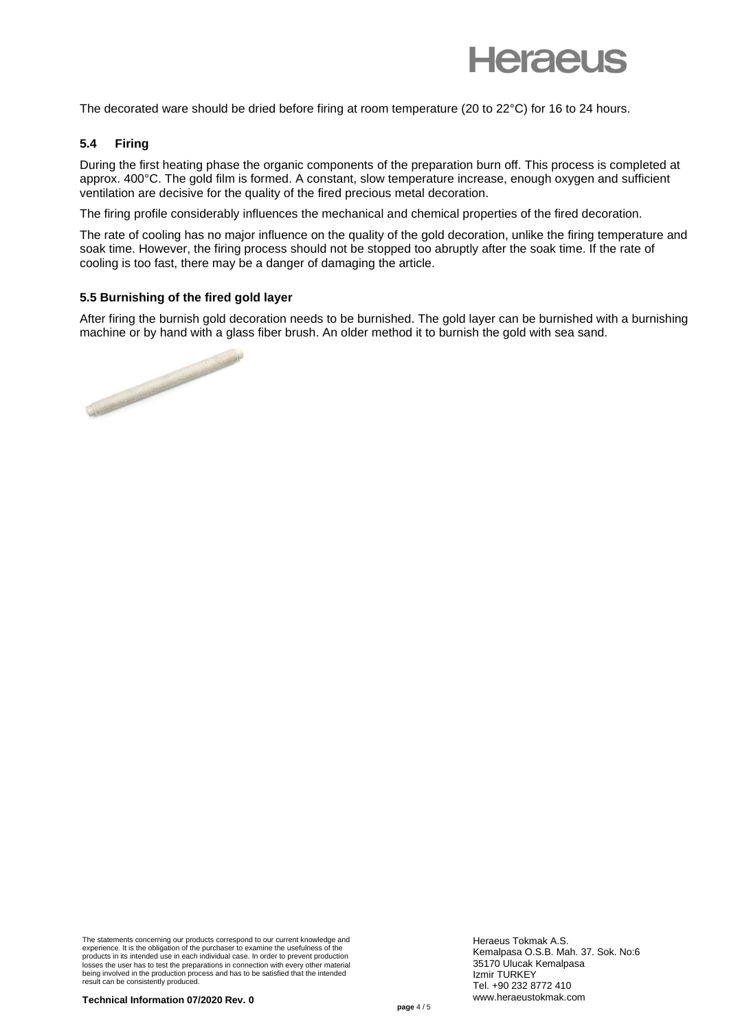

The decorated ware should be dried before firing at room temperature (20 to 22°C) for 16 to 24 hours.

#### **5.4 Firing**

During the first heating phase the organic components of the preparation burn off. This process is completed at approx. 400°C. The gold film is formed. A constant, slow temperature increase, enough oxygen and sufficient ventilation are decisive for the quality of the fired precious metal decoration.

The firing profile considerably influences the mechanical and chemical properties of the fired decoration.

The rate of cooling has no major influence on the quality of the gold decoration, unlike the firing temperature and soak time. However, the firing process should not be stopped too abruptly after the soak time. If the rate of cooling is too fast, there may be a danger of damaging the article.

#### **5.5 Burnishing of the fired gold layer**

After firing the burnish gold decoration needs to be burnished. The gold layer can be burnished with a burnishing machine or by hand with a glass fiber brush. An older method it to burnish the gold with sea sand.